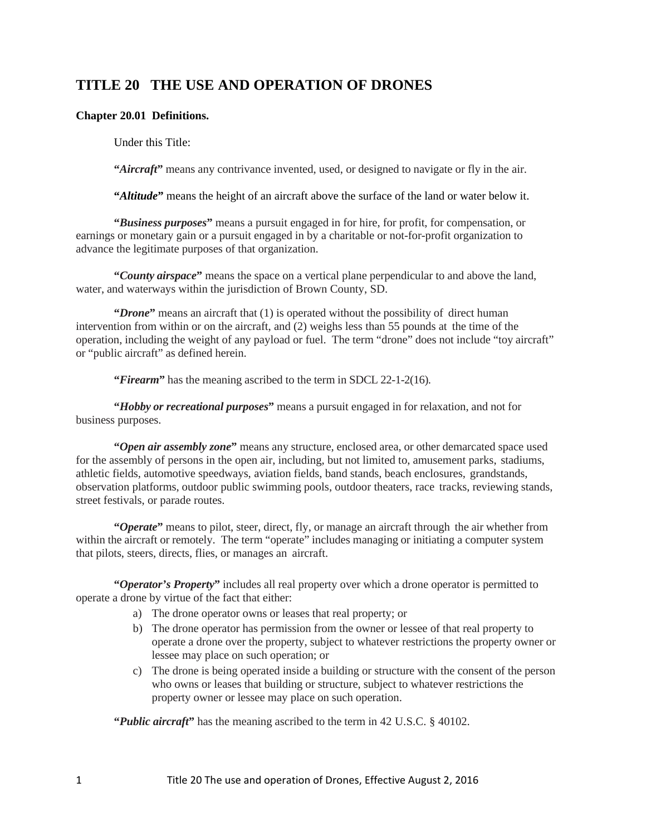# **TITLE 20 THE USE AND OPERATION OF DRONES**

## **Chapter 20.01 Definitions.**

Under this Title:

**"***Aircraft***"** means any contrivance invented, used, or designed to navigate or fly in the air.

**"***Altitude***"** means the height of an aircraft above the surface of the land or water below it.

**"***Business purposes***"** means a pursuit engaged in for hire, for profit, for compensation, or earnings or monetary gain or a pursuit engaged in by a charitable or not-for-profit organization to advance the legitimate purposes of that organization.

**"***County airspace***"** means the space on a vertical plane perpendicular to and above the land, water, and waterways within the jurisdiction of Brown County, SD.

**"***Drone***"** means an aircraft that (1) is operated without the possibility of direct human intervention from within or on the aircraft, and (2) weighs less than 55 pounds at the time of the operation, including the weight of any payload or fuel. The term "drone" does not include "toy aircraft" or "public aircraft" as defined herein.

**"Firearm"** has the meaning ascribed to the term in SDCL 22-1-2(16).

**"***Hobby or recreational purposes***"** means a pursuit engaged in for relaxation, and not for business purposes.

**"***Open air assembly zone***"** means any structure, enclosed area, or other demarcated space used for the assembly of persons in the open air, including, but not limited to, amusement parks, stadiums, athletic fields, automotive speedways, aviation fields, band stands, beach enclosures, grandstands, observation platforms, outdoor public swimming pools, outdoor theaters, race tracks, reviewing stands, street festivals, or parade routes.

**"***Operate***"** means to pilot, steer, direct, fly, or manage an aircraft through the air whether from within the aircraft or remotely. The term "operate" includes managing or initiating a computer system that pilots, steers, directs, flies, or manages an aircraft.

**"***Operator's Property***"** includes all real property over which a drone operator is permitted to operate a drone by virtue of the fact that either:

- a) The drone operator owns or leases that real property; or
- b) The drone operator has permission from the owner or lessee of that real property to operate a drone over the property, subject to whatever restrictions the property owner or lessee may place on such operation; or
- c) The drone is being operated inside a building or structure with the consent of the person who owns or leases that building or structure, subject to whatever restrictions the property owner or lessee may place on such operation.

**"***Public aircraft***"** has the meaning ascribed to the term in 42 U.S.C. § 40102.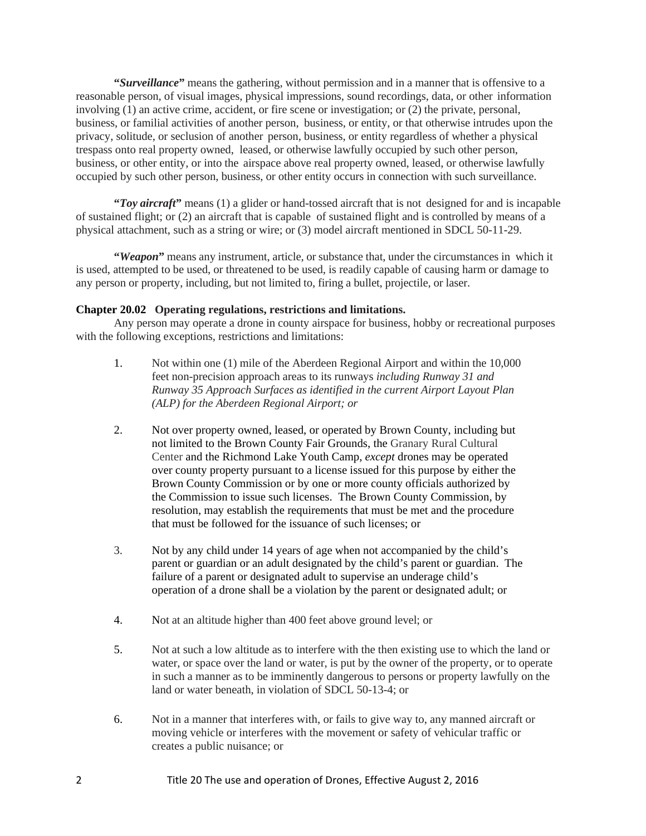**"***Surveillance***"** means the gathering, without permission and in a manner that is offensive to a reasonable person, of visual images, physical impressions, sound recordings, data, or other information involving (1) an active crime, accident, or fire scene or investigation; or (2) the private, personal, business, or familial activities of another person, business, or entity, or that otherwise intrudes upon the privacy, solitude, or seclusion of another person, business, or entity regardless of whether a physical trespass onto real property owned, leased, or otherwise lawfully occupied by such other person, business, or other entity, or into the airspace above real property owned, leased, or otherwise lawfully occupied by such other person, business, or other entity occurs in connection with such surveillance.

**"***Toy aircraft***"** means (1) a glider or hand-tossed aircraft that is not designed for and is incapable of sustained flight; or (2) an aircraft that is capable of sustained flight and is controlled by means of a physical attachment, such as a string or wire; or (3) model aircraft mentioned in SDCL 50-11-29.

**"***Weapon***"** means any instrument, article, or substance that, under the circumstances in which it is used, attempted to be used, or threatened to be used, is readily capable of causing harm or damage to any person or property, including, but not limited to, firing a bullet, projectile, or laser.

#### **Chapter 20.02 Operating regulations, restrictions and limitations.**

Any person may operate a drone in county airspace for business, hobby or recreational purposes with the following exceptions, restrictions and limitations:

- 1. Not within one (1) mile of the Aberdeen Regional Airport and within the 10,000 feet non-precision approach areas to its runways *including Runway 31 and Runway 35 Approach Surfaces as identified in the current Airport Layout Plan (ALP) for the Aberdeen Regional Airport; or*
- 2. Not over property owned, leased, or operated by Brown County, including but not limited to the Brown County Fair Grounds, the Granary Rural Cultural Center and the Richmond Lake Youth Camp, *except* drones may be operated over county property pursuant to a license issued for this purpose by either the Brown County Commission or by one or more county officials authorized by the Commission to issue such licenses. The Brown County Commission, by resolution, may establish the requirements that must be met and the procedure that must be followed for the issuance of such licenses; or
- 3. Not by any child under 14 years of age when not accompanied by the child's parent or guardian or an adult designated by the child's parent or guardian. The failure of a parent or designated adult to supervise an underage child's operation of a drone shall be a violation by the parent or designated adult; or
- 4. Not at an altitude higher than 400 feet above ground level; or
- 5. Not at such a low altitude as to interfere with the then existing use to which the land or water, or space over the land or water, is put by the owner of the property, or to operate in such a manner as to be imminently dangerous to persons or property lawfully on the land or water beneath, in violation of SDCL 50-13-4; or
- 6. Not in a manner that interferes with, or fails to give way to, any manned aircraft or moving vehicle or interferes with the movement or safety of vehicular traffic or creates a public nuisance; or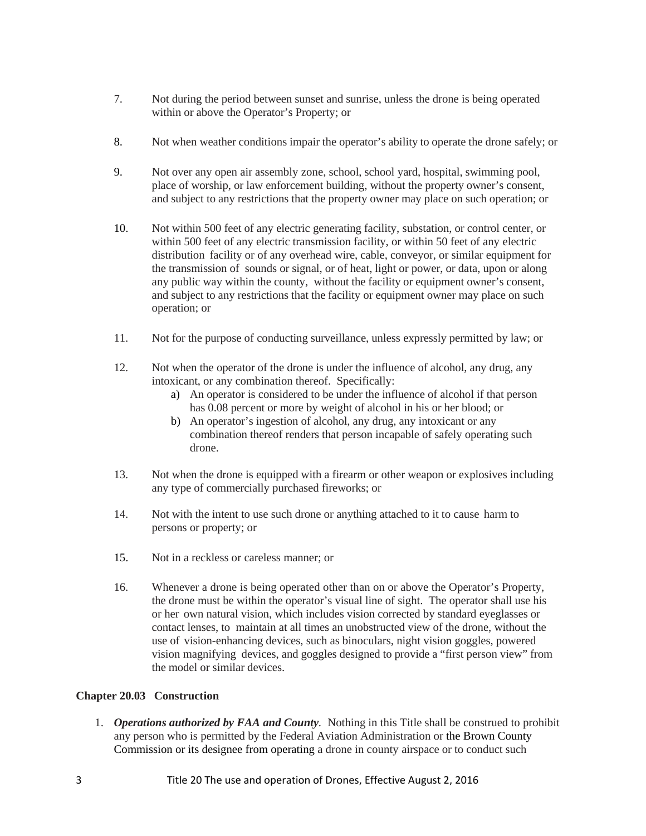- 7. Not during the period between sunset and sunrise, unless the drone is being operated within or above the Operator's Property; or
- 8. Not when weather conditions impair the operator's ability to operate the drone safely; or
- 9. Not over any open air assembly zone, school, school yard, hospital, swimming pool, place of worship, or law enforcement building, without the property owner's consent, and subject to any restrictions that the property owner may place on such operation; or
- 10. Not within 500 feet of any electric generating facility, substation, or control center, or within 500 feet of any electric transmission facility, or within 50 feet of any electric distribution facility or of any overhead wire, cable, conveyor, or similar equipment for the transmission of sounds or signal, or of heat, light or power, or data, upon or along any public way within the county, without the facility or equipment owner's consent, and subject to any restrictions that the facility or equipment owner may place on such operation; or
- 11. Not for the purpose of conducting surveillance, unless expressly permitted by law; or
- 12. Not when the operator of the drone is under the influence of alcohol, any drug, any intoxicant, or any combination thereof. Specifically:
	- a) An operator is considered to be under the influence of alcohol if that person has 0.08 percent or more by weight of alcohol in his or her blood; or
	- b) An operator's ingestion of alcohol, any drug, any intoxicant or any combination thereof renders that person incapable of safely operating such drone.
- 13. Not when the drone is equipped with a firearm or other weapon or explosives including any type of commercially purchased fireworks; or
- 14. Not with the intent to use such drone or anything attached to it to cause harm to persons or property; or
- 15. Not in a reckless or careless manner; or
- 16. Whenever a drone is being operated other than on or above the Operator's Property, the drone must be within the operator's visual line of sight. The operator shall use his or her own natural vision, which includes vision corrected by standard eyeglasses or contact lenses, to maintain at all times an unobstructed view of the drone, without the use of vision-enhancing devices, such as binoculars, night vision goggles, powered vision magnifying devices, and goggles designed to provide a "first person view" from the model or similar devices.

### **Chapter 20.03 Construction**

1. *Operations authorized by FAA and County.* Nothing in this Title shall be construed to prohibit any person who is permitted by the Federal Aviation Administration or the Brown County Commission or its designee from operating a drone in county airspace or to conduct such